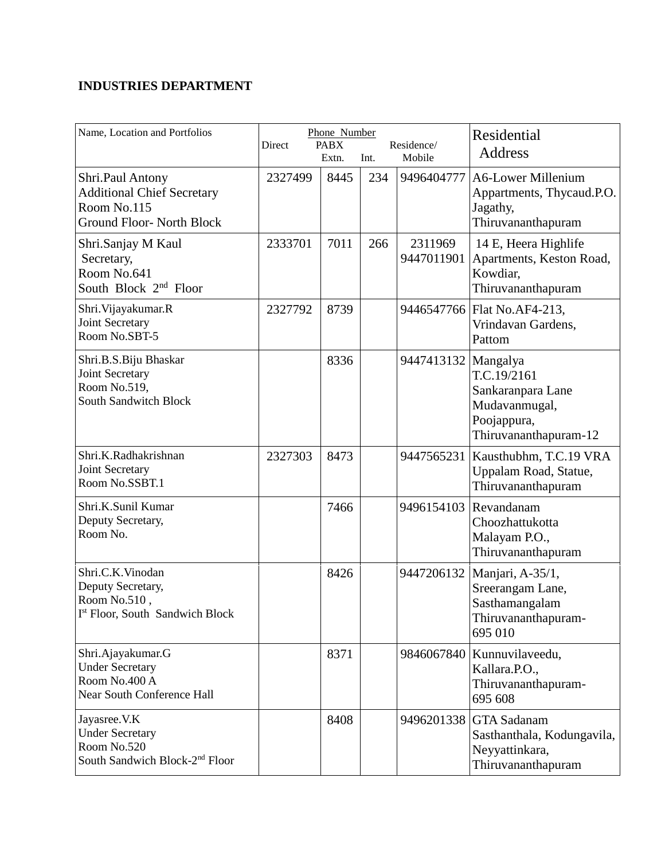## **INDUSTRIES DEPARTMENT**

| Name, Location and Portfolios                                                                            | Direct  | Phone Number<br><b>PABX</b><br>Extn. | Int. | Residence/<br>Mobile  | Residential<br><b>Address</b>                                                                         |
|----------------------------------------------------------------------------------------------------------|---------|--------------------------------------|------|-----------------------|-------------------------------------------------------------------------------------------------------|
| Shri.Paul Antony<br><b>Additional Chief Secretary</b><br>Room No.115<br><b>Ground Floor- North Block</b> | 2327499 | 8445                                 | 234  | 9496404777            | <b>A6-Lower Millenium</b><br>Appartments, Thycaud.P.O.<br>Jagathy,<br>Thiruvananthapuram              |
| Shri.Sanjay M Kaul<br>Secretary,<br>Room No.641<br>South Block 2 <sup>nd</sup> Floor                     | 2333701 | 7011                                 | 266  | 2311969<br>9447011901 | 14 E, Heera Highlife<br>Apartments, Keston Road,<br>Kowdiar.<br>Thiruvananthapuram                    |
| Shri. Vijayakumar. R<br>Joint Secretary<br>Room No.SBT-5                                                 | 2327792 | 8739                                 |      | 9446547766            | Flat No.AF4-213,<br>Vrindavan Gardens,<br>Pattom                                                      |
| Shri.B.S.Biju Bhaskar<br><b>Joint Secretary</b><br>Room No.519,<br><b>South Sandwitch Block</b>          |         | 8336                                 |      | 9447413132            | Mangalya<br>T.C.19/2161<br>Sankaranpara Lane<br>Mudavanmugal,<br>Poojappura,<br>Thiruvananthapuram-12 |
| Shri.K.Radhakrishnan<br>Joint Secretary<br>Room No.SSBT.1                                                | 2327303 | 8473                                 |      | 9447565231            | Kausthubhm, T.C.19 VRA<br>Uppalam Road, Statue,<br>Thiruvananthapuram                                 |
| Shri.K.Sunil Kumar<br>Deputy Secretary,<br>Room No.                                                      |         | 7466                                 |      | 9496154103            | Revandanam<br>Choozhattukotta<br>Malayam P.O.,<br>Thiruvananthapuram                                  |
| Shri.C.K.Vinodan<br>Deputy Secretary,<br>Room No.510,<br>Ist Floor, South Sandwich Block                 |         | 8426                                 |      | 9447206132            | Manjari, A-35/1,<br>Sreerangam Lane,<br>Sasthamangalam<br>Thiruvananthapuram-<br>695 010              |
| Shri.Ajayakumar.G<br><b>Under Secretary</b><br>Room No.400 A<br><b>Near South Conference Hall</b>        |         | 8371                                 |      | 9846067840            | Kunnuvilaveedu,<br>Kallara.P.O.,<br>Thiruvananthapuram-<br>695 608                                    |
| Jayasree. V.K<br><b>Under Secretary</b><br>Room No.520<br>South Sandwich Block-2 <sup>nd</sup> Floor     |         | 8408                                 |      | 9496201338            | <b>GTA</b> Sadanam<br>Sasthanthala, Kodungavila,<br>Neyyattinkara,<br>Thiruvananthapuram              |